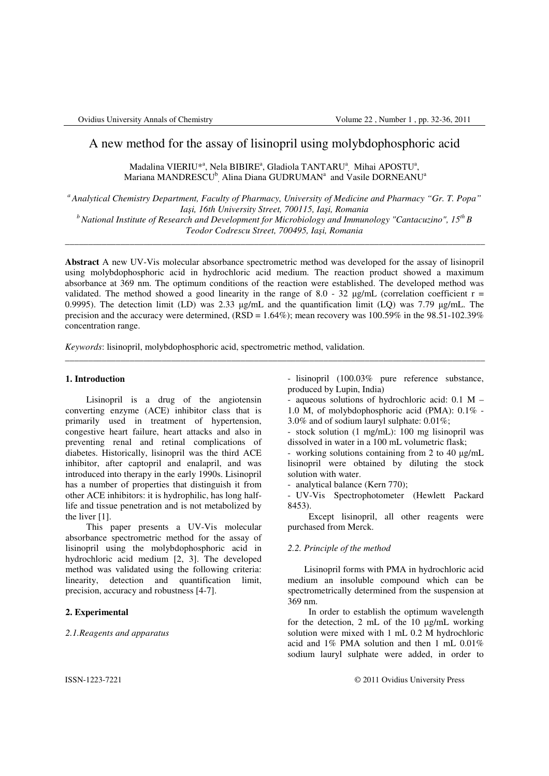# A new method for the assay of lisinopril using molybdophosphoric acid

Madalina VIERIU $^{*^{\mathbf{a}}}$ , Nela BIBIRE $^{\mathbf{a}}$ , Gladiola TANTARU $^{\mathbf{a}}$ <sub>,</sub> Mihai APOSTU $^{\mathbf{a}}$ , Mariana MANDRESCU<sup>b</sup>, Alina Diana GUDRUMAN<sup>a</sup> and Vasile DORNEANU<sup>a</sup>

*<sup>a</sup>Analytical Chemistry Department, Faculty of Pharmacy, University of Medicine and Pharmacy "Gr. T. Popa" Ia*ş*i, 16th University Street, 700115, Ia*ş*i, Romania <sup>b</sup>National Institute of Research and Development for Microbiology and Immunology "Cantacuzino", 15th B* 

*Teodor Codrescu Street, 700495, Ia*ş*i, Romania*  \_\_\_\_\_\_\_\_\_\_\_\_\_\_\_\_\_\_\_\_\_\_\_\_\_\_\_\_\_\_\_\_\_\_\_\_\_\_\_\_\_\_\_\_\_\_\_\_\_\_\_\_\_\_\_\_\_\_\_\_\_\_\_\_\_\_\_\_\_\_\_\_\_\_\_\_\_\_\_\_\_\_\_\_\_\_\_\_\_\_\_

**Abstract** A new UV-Vis molecular absorbance spectrometric method was developed for the assay of lisinopril using molybdophosphoric acid in hydrochloric acid medium. The reaction product showed a maximum absorbance at 369 nm. The optimum conditions of the reaction were established. The developed method was validated. The method showed a good linearity in the range of 8.0 - 32  $\mu$ g/mL (correlation coefficient r = 0.9995). The detection limit (LD) was 2.33 µg/mL and the quantification limit (LQ) was 7.79 µg/mL. The precision and the accuracy were determined, ( $\overline{RSD} = 1.64\%$ ); mean recovery was 100.59% in the 98.51-102.39% concentration range.

\_\_\_\_\_\_\_\_\_\_\_\_\_\_\_\_\_\_\_\_\_\_\_\_\_\_\_\_\_\_\_\_\_\_\_\_\_\_\_\_\_\_\_\_\_\_\_\_\_\_\_\_\_\_\_\_\_\_\_\_\_\_\_\_\_\_\_\_\_\_\_\_\_\_\_\_\_\_\_\_\_\_\_\_\_\_\_\_\_\_\_

*Keywords*: lisinopril, molybdophosphoric acid, spectrometric method, validation.

## **1. Introduction**

Lisinopril is a drug of the angiotensin converting enzyme (ACE) inhibitor class that is primarily used in treatment of hypertension, congestive heart failure, heart attacks and also in preventing renal and retinal complications of diabetes. Historically, lisinopril was the third ACE inhibitor, after captopril and enalapril, and was introduced into therapy in the early 1990s. Lisinopril has a number of properties that distinguish it from other ACE inhibitors: it is hydrophilic, has long halflife and tissue penetration and is not metabolized by the liver [1].

This paper presents a UV-Vis molecular absorbance spectrometric method for the assay of lisinopril using the molybdophosphoric acid in hydrochloric acid medium [2, 3]. The developed method was validated using the following criteria: linearity, detection and quantification limit, precision, accuracy and robustness [4-7].

## **2. Experimental**

*2.1.Reagents and apparatus* 

- lisinopril (100.03% pure reference substance, produced by Lupin, India)

- aqueous solutions of hydrochloric acid:  $0.1 M -$ 1.0 M, of molybdophosphoric acid (PMA): 0.1% - 3.0% and of sodium lauryl sulphate: 0.01%;

- stock solution (1 mg/mL): 100 mg lisinopril was dissolved in water in a 100 mL volumetric flask;

- working solutions containing from 2 to 40 µg/mL lisinopril were obtained by diluting the stock solution with water.

- analytical balance (Kern 770);

- UV-Vis Spectrophotometer (Hewlett Packard 8453).

Except lisinopril, all other reagents were purchased from Merck.

### *2.2. Principle of the method*

Lisinopril forms with PMA in hydrochloric acid medium an insoluble compound which can be spectrometrically determined from the suspension at 369 nm.

In order to establish the optimum wavelength for the detection, 2 mL of the 10 µg/mL working solution were mixed with 1 mL 0.2 M hydrochloric acid and 1% PMA solution and then 1 mL 0.01% sodium lauryl sulphate were added, in order to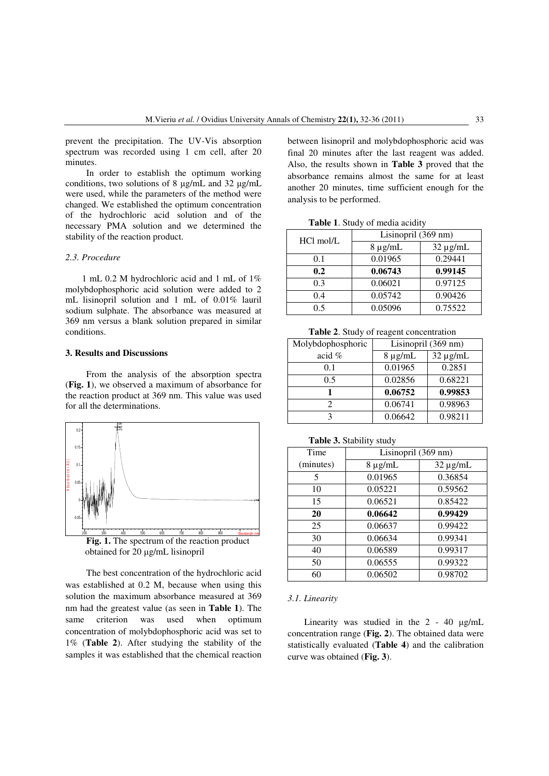prevent the precipitation. The UV-Vis absorption spectrum was recorded using 1 cm cell, after 20 minutes.

In order to establish the optimum working conditions, two solutions of 8 µg/mL and 32 µg/mL were used, while the parameters of the method were changed. We established the optimum concentration of the hydrochloric acid solution and of the necessary PMA solution and we determined the stability of the reaction product.

## *2.3. Procedure*

1 mL 0.2 M hydrochloric acid and 1 mL of 1% molybdophosphoric acid solution were added to 2 mL lisinopril solution and 1 mL of 0.01% lauril sodium sulphate. The absorbance was measured at 369 nm versus a blank solution prepared in similar conditions.

#### **3. Results and Discussions**

From the analysis of the absorption spectra (**Fig. 1**), we observed a maximum of absorbance for the reaction product at 369 nm. This value was used for all the determinations.



**Fig. 1.** The spectrum of the reaction product obtained for 20 µg/mL lisinopril

The best concentration of the hydrochloric acid was established at 0.2 M, because when using this solution the maximum absorbance measured at 369 nm had the greatest value (as seen in **Table 1**). The same criterion was used when optimum concentration of molybdophosphoric acid was set to 1% (**Table 2**). After studying the stability of the samples it was established that the chemical reaction

between lisinopril and molybdophosphoric acid was final 20 minutes after the last reagent was added. Also, the results shown in **Table 3** proved that the absorbance remains almost the same for at least another 20 minutes, time sufficient enough for the analysis to be performed.

**Table 1**. Study of media acidity

| HCl mol/L | Lisinopril (369 nm) |               |  |
|-----------|---------------------|---------------|--|
|           | $8 \mu g/mL$        | $32 \mu g/mL$ |  |
| 0.1       | 0.01965             | 0.29441       |  |
| 0.2       | 0.06743             | 0.99145       |  |
| 0.3       | 0.06021             | 0.97125       |  |
| 0.4       | 0.05742             | 0.90426       |  |
| 0.5       | 0.05096             | 0.75522       |  |

**Table 2**. Study of reagent concentration

| Molybdophosphoric | Lisinopril (369 nm) |               |  |
|-------------------|---------------------|---------------|--|
| acid $%$          | $8 \mu g/mL$        | $32 \mu g/mL$ |  |
| 0.1               | 0.01965             | 0.2851        |  |
| 0.5               | 0.02856             | 0.68221       |  |
|                   | 0.06752             | 0.99853       |  |
|                   | 0.06741             | 0.98963       |  |
|                   | 0.06642             | 0.98211       |  |

## **Table 3.** Stability study

| Time      | Lisinopril (369 nm) |               |  |  |
|-----------|---------------------|---------------|--|--|
| (minutes) | $8 \mu g/mL$        | $32 \mu g/mL$ |  |  |
| 5         | 0.01965             | 0.36854       |  |  |
| 10        | 0.05221             | 0.59562       |  |  |
| 15        | 0.06521             | 0.85422       |  |  |
| 20        | 0.06642             | 0.99429       |  |  |
| 25        | 0.06637             | 0.99422       |  |  |
| 30        | 0.06634             | 0.99341       |  |  |
| 40        | 0.06589             | 0.99317       |  |  |
| 50        | 0.06555             | 0.99322       |  |  |
| 60        | 0.06502             | 0.98702       |  |  |

#### *3.1. Linearity*

Linearity was studied in the 2 - 40 µg/mL concentration range (**Fig. 2**). The obtained data were statistically evaluated (**Table 4**) and the calibration curve was obtained (**Fig. 3**).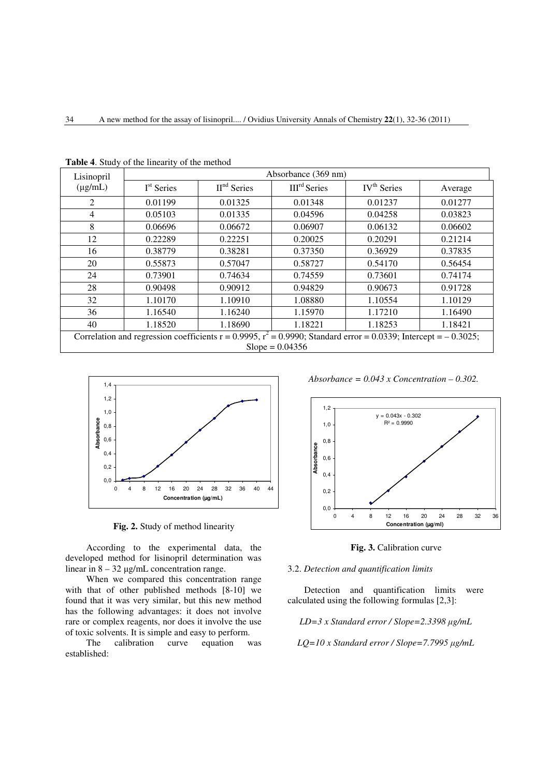| Lisinopril                                                                                                                                 | <b>Tuble</b> 4. blady of the initially of the inclined<br>Absorbance (369 nm) |               |                |                         |         |  |
|--------------------------------------------------------------------------------------------------------------------------------------------|-------------------------------------------------------------------------------|---------------|----------------|-------------------------|---------|--|
| $(\mu g/mL)$                                                                                                                               | I <sup>st</sup> Series                                                        | $IInd$ Series | $IIIrd$ Series | IV <sup>th</sup> Series | Average |  |
| $\mathfrak{D}$                                                                                                                             | 0.01199                                                                       | 0.01325       | 0.01348        | 0.01237                 | 0.01277 |  |
| 4                                                                                                                                          | 0.05103                                                                       | 0.01335       | 0.04596        | 0.04258                 | 0.03823 |  |
| 8                                                                                                                                          | 0.06696                                                                       | 0.06672       | 0.06907        | 0.06132                 | 0.06602 |  |
| 12                                                                                                                                         | 0.22289                                                                       | 0.22251       | 0.20025        | 0.20291                 | 0.21214 |  |
| 16                                                                                                                                         | 0.38779                                                                       | 0.38281       | 0.37350        | 0.36929                 | 0.37835 |  |
| 20                                                                                                                                         | 0.55873                                                                       | 0.57047       | 0.58727        | 0.54170                 | 0.56454 |  |
| 24                                                                                                                                         | 0.73901                                                                       | 0.74634       |                | 0.73601                 | 0.74174 |  |
| 28                                                                                                                                         | 0.90498                                                                       | 0.90912       | 0.94829        | 0.90673                 | 0.91728 |  |
| 32                                                                                                                                         | 1.10170                                                                       | 1.10910       | 1.08880        | 1.10554                 | 1.10129 |  |
| 36                                                                                                                                         | 1.16540                                                                       | 1.16240       | 1.15970        | 1.17210                 | 1.16490 |  |
| 40                                                                                                                                         | 1.18520                                                                       | 1.18690       | 1.18221        | 1.18253                 | 1.18421 |  |
| Correlation and regression coefficients $r = 0.9995$ , $r^2 = 0.9990$ ; Standard error = 0.0339; Intercept = -0.3025;<br>$Slope = 0.04356$ |                                                                               |               |                |                         |         |  |

**Table 4**. Study of the linearity of the method



**Fig. 2.** Study of method linearity

According to the experimental data, the developed method for lisinopril determination was linear in  $8 - 32 \mu$ g/mL concentration range.

When we compared this concentration range with that of other published methods [8-10] we found that it was very similar, but this new method has the following advantages: it does not involve rare or complex reagents, nor does it involve the use of toxic solvents. It is simple and easy to perform.

The calibration curve equation was established:

*Absorbance = 0.043 x Concentration – 0.302.* 



**Fig. 3.** Calibration curve

## 3.2. *Detection and quantification limits*

Detection and quantification limits were calculated using the following formulas [2,3]:

*LD=3 x Standard error / Slope=2.3398* µ*g/mL* 

*LQ=10 x Standard error / Slope=7.7995* µ*g/mL*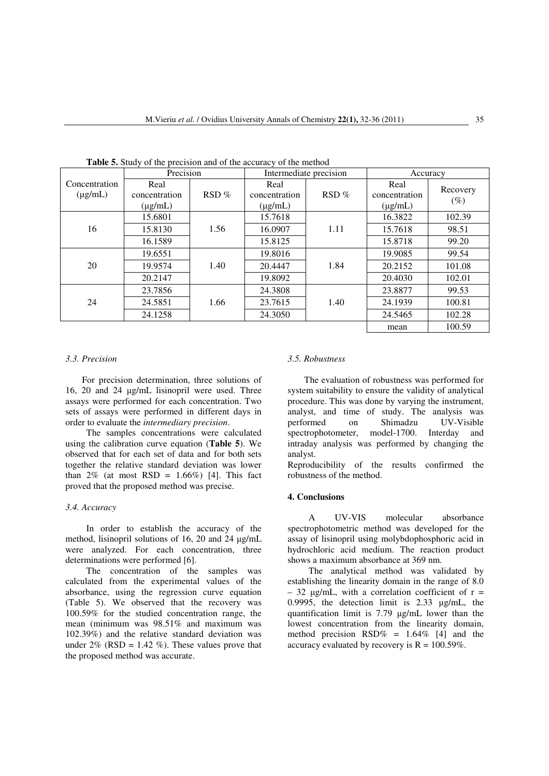| <b>Table 5.</b> Bluery of the precision and of the accuracy of the inclinear |                                       |         |                                       |      |                                       |                    |
|------------------------------------------------------------------------------|---------------------------------------|---------|---------------------------------------|------|---------------------------------------|--------------------|
|                                                                              | Precision                             |         | Intermediate precision                |      | Accuracy                              |                    |
| Concentration<br>$(\mu g/mL)$                                                | Real<br>concentration<br>$(\mu g/mL)$ | $RSD\%$ | Real<br>concentration<br>$(\mu g/mL)$ | RSD% | Real<br>concentration<br>$(\mu g/mL)$ | Recovery<br>$(\%)$ |
| 16                                                                           | 15.6801                               | 1.56    | 15.7618                               | 1.11 | 16.3822                               | 102.39             |
|                                                                              | 15.8130                               |         | 16.0907                               |      | 15.7618                               | 98.51              |
|                                                                              | 16.1589                               |         | 15.8125                               |      | 15.8718                               | 99.20              |
| 20                                                                           | 19.6551                               | 1.40    | 19.8016                               | 1.84 | 19.9085                               | 99.54              |
|                                                                              | 19.9574                               |         | 20.4447                               |      | 20.2152                               | 101.08             |
|                                                                              | 20.2147                               |         | 19.8092                               |      | 20.4030                               | 102.01             |
| 24                                                                           | 23.7856                               | 1.66    | 24.3808                               | 1.40 | 23.8877                               | 99.53              |
|                                                                              | 24.5851                               |         | 23.7615                               |      | 24.1939                               | 100.81             |
|                                                                              | 24.1258                               |         | 24.3050                               |      | 24.5465                               | 102.28             |
|                                                                              |                                       |         |                                       |      | mean                                  | 100.59             |

**Table 5.** Study of the precision and of the accuracy of the method

#### *3.3. Precision*

For precision determination, three solutions of 16, 20 and 24 µg/mL lisinopril were used. Three assays were performed for each concentration. Two sets of assays were performed in different days in order to evaluate the *intermediary precision*.

The samples concentrations were calculated using the calibration curve equation (**Table 5**). We observed that for each set of data and for both sets together the relative standard deviation was lower than  $2\%$  (at most RSD = 1.66%) [4]. This fact proved that the proposed method was precise.

### *3.4. Accuracy*

In order to establish the accuracy of the method, lisinopril solutions of 16, 20 and 24  $\mu$ g/mL were analyzed. For each concentration, three determinations were performed [6].

The concentration of the samples was calculated from the experimental values of the absorbance, using the regression curve equation (Table 5). We observed that the recovery was 100.59% for the studied concentration range, the mean (minimum was 98.51% and maximum was 102.39%) and the relative standard deviation was under  $2\%$  (RSD = 1.42 %). These values prove that the proposed method was accurate.

## *3.5. Robustness*

The evaluation of robustness was performed for system suitability to ensure the validity of analytical procedure. This was done by varying the instrument, analyst, and time of study. The analysis was performed on Shimadzu UV-Visible spectrophotometer, model-1700. Interday and intraday analysis was performed by changing the analyst.

Reproducibility of the results confirmed the robustness of the method.

#### **4. Conclusions**

A UV-VIS molecular absorbance spectrophotometric method was developed for the assay of lisinopril using molybdophosphoric acid in hydrochloric acid medium. The reaction product shows a maximum absorbance at 369 nm.

The analytical method was validated by establishing the linearity domain in the range of 8.0  $-32 \text{ ug/mL}$ , with a correlation coefficient of r = 0.9995, the detection limit is 2.33 µg/mL, the quantification limit is 7.79 µg/mL lower than the lowest concentration from the linearity domain, method precision  $RSD\% = 1.64\%$  [4] and the accuracy evaluated by recovery is  $R = 100.59\%$ .